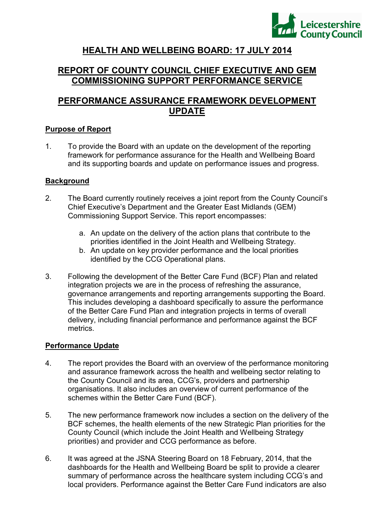

# **HEALTH AND WELLBEING BOARD: 17 JULY 2014**

# **REPORT OF COUNTY COUNCIL CHIEF EXECUTIVE AND GEM COMMISSIONING SUPPORT PERFORMANCE SERVICE**

# **PERFORMANCE ASSURANCE FRAMEWORK DEVELOPMENT UPDATE**

## **Purpose of Report**

1. To provide the Board with an update on the development of the reporting framework for performance assurance for the Health and Wellbeing Board and its supporting boards and update on performance issues and progress.

### **Background**

- 2. The Board currently routinely receives a joint report from the County Council's Chief Executive's Department and the Greater East Midlands (GEM) Commissioning Support Service. This report encompasses:
	- a. An update on the delivery of the action plans that contribute to the priorities identified in the Joint Health and Wellbeing Strategy.
	- b. An update on key provider performance and the local priorities identified by the CCG Operational plans.
- 3. Following the development of the Better Care Fund (BCF) Plan and related integration projects we are in the process of refreshing the assurance, governance arrangements and reporting arrangements supporting the Board. This includes developing a dashboard specifically to assure the performance of the Better Care Fund Plan and integration projects in terms of overall delivery, including financial performance and performance against the BCF metrics.

### **Performance Update**

- 4. The report provides the Board with an overview of the performance monitoring and assurance framework across the health and wellbeing sector relating to the County Council and its area, CCG's, providers and partnership organisations. It also includes an overview of current performance of the schemes within the Better Care Fund (BCF).
- 5. The new performance framework now includes a section on the delivery of the BCF schemes, the health elements of the new Strategic Plan priorities for the County Council (which include the Joint Health and Wellbeing Strategy priorities) and provider and CCG performance as before.
- 6. It was agreed at the JSNA Steering Board on 18 February, 2014, that the dashboards for the Health and Wellbeing Board be split to provide a clearer summary of performance across the healthcare system including CCG's and local providers. Performance against the Better Care Fund indicators are also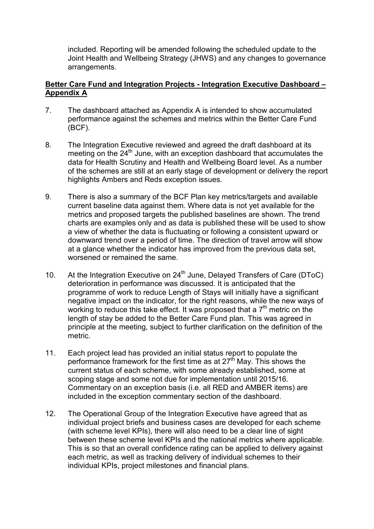included. Reporting will be amended following the scheduled update to the Joint Health and Wellbeing Strategy (JHWS) and any changes to governance arrangements.

## **Better Care Fund and Integration Projects - Integration Executive Dashboard – Appendix A**

- 7. The dashboard attached as Appendix A is intended to show accumulated performance against the schemes and metrics within the Better Care Fund (BCF).
- 8. The Integration Executive reviewed and agreed the draft dashboard at its meeting on the 24<sup>th</sup> June, with an exception dashboard that accumulates the data for Health Scrutiny and Health and Wellbeing Board level. As a number of the schemes are still at an early stage of development or delivery the report highlights Ambers and Reds exception issues.
- 9. There is also a summary of the BCF Plan key metrics/targets and available current baseline data against them. Where data is not yet available for the metrics and proposed targets the published baselines are shown. The trend charts are examples only and as data is published these will be used to show a view of whether the data is fluctuating or following a consistent upward or downward trend over a period of time. The direction of travel arrow will show at a glance whether the indicator has improved from the previous data set, worsened or remained the same.
- 10. At the Integration Executive on 24<sup>th</sup> June, Delayed Transfers of Care (DToC) deterioration in performance was discussed. It is anticipated that the programme of work to reduce Length of Stays will initially have a significant negative impact on the indicator, for the right reasons, while the new ways of working to reduce this take effect. It was proposed that a  $7<sup>th</sup>$  metric on the length of stay be added to the Better Care Fund plan. This was agreed in principle at the meeting, subject to further clarification on the definition of the metric.
- 11. Each project lead has provided an initial status report to populate the performance framework for the first time as at  $27<sup>th</sup>$  May. This shows the current status of each scheme, with some already established, some at scoping stage and some not due for implementation until 2015/16. Commentary on an exception basis (i.e. all RED and AMBER items) are included in the exception commentary section of the dashboard.
- 12. The Operational Group of the Integration Executive have agreed that as individual project briefs and business cases are developed for each scheme (with scheme level KPIs), there will also need to be a clear line of sight between these scheme level KPIs and the national metrics where applicable. This is so that an overall confidence rating can be applied to delivery against each metric, as well as tracking delivery of individual schemes to their individual KPIs, project milestones and financial plans.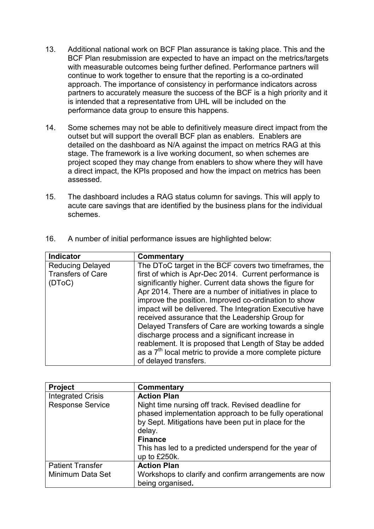- 13. Additional national work on BCF Plan assurance is taking place. This and the BCF Plan resubmission are expected to have an impact on the metrics/targets with measurable outcomes being further defined. Performance partners will continue to work together to ensure that the reporting is a co-ordinated approach. The importance of consistency in performance indicators across partners to accurately measure the success of the BCF is a high priority and it is intended that a representative from UHL will be included on the performance data group to ensure this happens.
- 14. Some schemes may not be able to definitively measure direct impact from the outset but will support the overall BCF plan as enablers. Enablers are detailed on the dashboard as N/A against the impact on metrics RAG at this stage. The framework is a live working document, so when schemes are project scoped they may change from enablers to show where they will have a direct impact, the KPIs proposed and how the impact on metrics has been assessed.
- 15. The dashboard includes a RAG status column for savings. This will apply to acute care savings that are identified by the business plans for the individual schemes.

| <b>Indicator</b>                                              | Commentary                                                                                                                                                                                                                                                                                                                                                                                                                                                                                                                                                                                                                                                                   |
|---------------------------------------------------------------|------------------------------------------------------------------------------------------------------------------------------------------------------------------------------------------------------------------------------------------------------------------------------------------------------------------------------------------------------------------------------------------------------------------------------------------------------------------------------------------------------------------------------------------------------------------------------------------------------------------------------------------------------------------------------|
| <b>Reducing Delayed</b><br><b>Transfers of Care</b><br>(DToC) | The DToC target in the BCF covers two timeframes, the<br>first of which is Apr-Dec 2014. Current performance is<br>significantly higher. Current data shows the figure for<br>Apr 2014. There are a number of initiatives in place to<br>improve the position. Improved co-ordination to show<br>impact will be delivered. The Integration Executive have<br>received assurance that the Leadership Group for<br>Delayed Transfers of Care are working towards a single<br>discharge process and a significant increase in<br>reablement. It is proposed that Length of Stay be added<br>as a $7th$ local metric to provide a more complete picture<br>of delayed transfers. |

16. A number of initial performance issues are highlighted below:

| <b>Project</b>           | Commentary                                                                                                                                                                                      |
|--------------------------|-------------------------------------------------------------------------------------------------------------------------------------------------------------------------------------------------|
| <b>Integrated Crisis</b> | <b>Action Plan</b>                                                                                                                                                                              |
| <b>Response Service</b>  | Night time nursing off track. Revised deadline for<br>phased implementation approach to be fully operational<br>by Sept. Mitigations have been put in place for the<br>delay.<br><b>Finance</b> |
|                          | This has led to a predicted underspend for the year of<br>up to £250k.                                                                                                                          |
| <b>Patient Transfer</b>  | <b>Action Plan</b>                                                                                                                                                                              |
| Minimum Data Set         | Workshops to clarify and confirm arrangements are now<br>being organised.                                                                                                                       |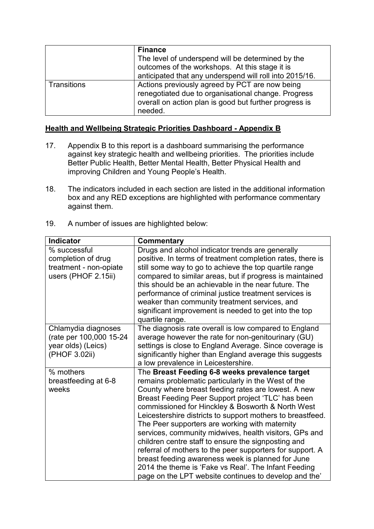|                    | <b>Finance</b><br>The level of underspend will be determined by the<br>outcomes of the workshops. At this stage it is<br>anticipated that any underspend will roll into 2015/16. |
|--------------------|----------------------------------------------------------------------------------------------------------------------------------------------------------------------------------|
| <b>Transitions</b> | Actions previously agreed by PCT are now being<br>renegotiated due to organisational change. Progress<br>overall on action plan is good but further progress is<br>needed.       |

## **Health and Wellbeing Strategic Priorities Dashboard - Appendix B**

- 17. Appendix B to this report is a dashboard summarising the performance against key strategic health and wellbeing priorities. The priorities include Better Public Health, Better Mental Health, Better Physical Health and improving Children and Young People's Health.
- 18. The indicators included in each section are listed in the additional information box and any RED exceptions are highlighted with performance commentary against them.
- 19. A number of issues are highlighted below:

| <b>Indicator</b>                                                                      | Commentary                                                                                                                                                                                                                                                                                                                                                                                                                                                                                                                                                                                                                                                                                                                                  |
|---------------------------------------------------------------------------------------|---------------------------------------------------------------------------------------------------------------------------------------------------------------------------------------------------------------------------------------------------------------------------------------------------------------------------------------------------------------------------------------------------------------------------------------------------------------------------------------------------------------------------------------------------------------------------------------------------------------------------------------------------------------------------------------------------------------------------------------------|
| % successful<br>completion of drug<br>treatment - non-opiate<br>users (PHOF 2.15ii)   | Drugs and alcohol indicator trends are generally<br>positive. In terms of treatment completion rates, there is<br>still some way to go to achieve the top quartile range<br>compared to similar areas, but if progress is maintained<br>this should be an achievable in the near future. The<br>performance of criminal justice treatment services is<br>weaker than community treatment services, and<br>significant improvement is needed to get into the top<br>quartile range.                                                                                                                                                                                                                                                          |
| Chlamydia diagnoses<br>(rate per 100,000 15-24<br>year olds) (Leics)<br>(PHOF 3.02ii) | The diagnosis rate overall is low compared to England<br>average however the rate for non-genitourinary (GU)<br>settings is close to England Average. Since coverage is<br>significantly higher than England average this suggests<br>a low prevalence in Leicestershire.                                                                                                                                                                                                                                                                                                                                                                                                                                                                   |
| % mothers<br>breastfeeding at 6-8<br>weeks                                            | The Breast Feeding 6-8 weeks prevalence target<br>remains problematic particularly in the West of the<br>County where breast feeding rates are lowest. A new<br>Breast Feeding Peer Support project 'TLC' has been<br>commissioned for Hinckley & Bosworth & North West<br>Leicestershire districts to support mothers to breastfeed.<br>The Peer supporters are working with maternity<br>services, community midwives, health visitors, GPs and<br>children centre staff to ensure the signposting and<br>referral of mothers to the peer supporters for support. A<br>breast feeding awareness week is planned for June<br>2014 the theme is 'Fake vs Real'. The Infant Feeding<br>page on the LPT website continues to develop and the' |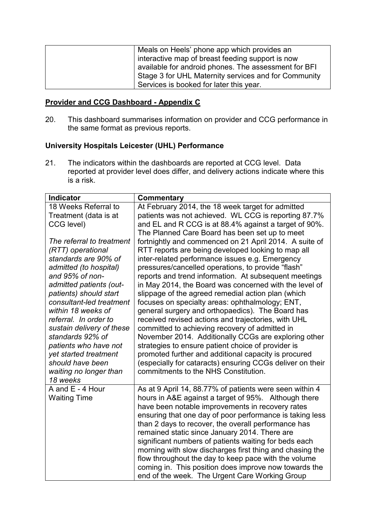| Meals on Heels' phone app which provides an          |
|------------------------------------------------------|
| interactive map of breast feeding support is now     |
| available for android phones. The assessment for BFI |
| Stage 3 for UHL Maternity services and for Community |
| Services is booked for later this year.              |

## **Provider and CCG Dashboard - Appendix C**

20. This dashboard summarises information on provider and CCG performance in the same format as previous reports.

## **University Hospitals Leicester (UHL) Performance**

21. The indicators within the dashboards are reported at CCG level. Data reported at provider level does differ, and delivery actions indicate where this is a risk.

| <b>Indicator</b>                                                                                                                                                                                                                                                                                                                                                                                                 | Commentary                                                                                                                                                                                                                                                                                                                                                                                                                                                                                                                                                                                                                                                                                                                                                                                                                                                                                |
|------------------------------------------------------------------------------------------------------------------------------------------------------------------------------------------------------------------------------------------------------------------------------------------------------------------------------------------------------------------------------------------------------------------|-------------------------------------------------------------------------------------------------------------------------------------------------------------------------------------------------------------------------------------------------------------------------------------------------------------------------------------------------------------------------------------------------------------------------------------------------------------------------------------------------------------------------------------------------------------------------------------------------------------------------------------------------------------------------------------------------------------------------------------------------------------------------------------------------------------------------------------------------------------------------------------------|
| 18 Weeks Referral to<br>Treatment (data is at<br>CCG level)                                                                                                                                                                                                                                                                                                                                                      | At February 2014, the 18 week target for admitted<br>patients was not achieved. WL CCG is reporting 87.7%<br>and EL and R CCG is at 88.4% against a target of 90%.<br>The Planned Care Board has been set up to meet                                                                                                                                                                                                                                                                                                                                                                                                                                                                                                                                                                                                                                                                      |
| The referral to treatment<br>(RTT) operational<br>standards are 90% of<br>admitted (to hospital)<br>and 95% of non-<br>admitted patients (out-<br>patients) should start<br>consultant-led treatment<br>within 18 weeks of<br>referral. In order to<br>sustain delivery of these<br>standards 92% of<br>patients who have not<br>yet started treatment<br>should have been<br>waiting no longer than<br>18 weeks | fortnightly and commenced on 21 April 2014. A suite of<br>RTT reports are being developed looking to map all<br>inter-related performance issues e.g. Emergency<br>pressures/cancelled operations, to provide "flash"<br>reports and trend information. At subsequent meetings<br>in May 2014, the Board was concerned with the level of<br>slippage of the agreed remedial action plan (which<br>focuses on specialty areas: ophthalmology; ENT,<br>general surgery and orthopaedics). The Board has<br>received revised actions and trajectories, with UHL<br>committed to achieving recovery of admitted in<br>November 2014. Additionally CCGs are exploring other<br>strategies to ensure patient choice of provider is<br>promoted further and additional capacity is procured<br>(especially for cataracts) ensuring CCGs deliver on their<br>commitments to the NHS Constitution. |
| A and E - 4 Hour<br><b>Waiting Time</b>                                                                                                                                                                                                                                                                                                                                                                          | As at 9 April 14, 88.77% of patients were seen within 4<br>hours in A&E against a target of 95%. Although there<br>have been notable improvements in recovery rates<br>ensuring that one day of poor performance is taking less<br>than 2 days to recover, the overall performance has<br>remained static since January 2014. There are<br>significant numbers of patients waiting for beds each<br>morning with slow discharges first thing and chasing the<br>flow throughout the day to keep pace with the volume<br>coming in. This position does improve now towards the<br>end of the week. The Urgent Care Working Group                                                                                                                                                                                                                                                           |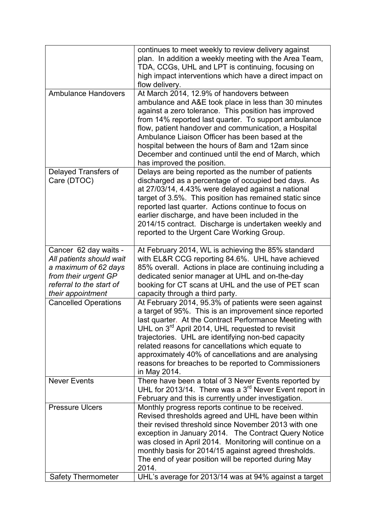|                                                                                                                                                    | continues to meet weekly to review delivery against<br>plan. In addition a weekly meeting with the Area Team,<br>TDA, CCGs, UHL and LPT is continuing, focusing on<br>high impact interventions which have a direct impact on<br>flow delivery.                                                                                                                                                                                                                                     |
|----------------------------------------------------------------------------------------------------------------------------------------------------|-------------------------------------------------------------------------------------------------------------------------------------------------------------------------------------------------------------------------------------------------------------------------------------------------------------------------------------------------------------------------------------------------------------------------------------------------------------------------------------|
| <b>Ambulance Handovers</b>                                                                                                                         | At March 2014, 12.9% of handovers between<br>ambulance and A&E took place in less than 30 minutes<br>against a zero tolerance. This position has improved<br>from 14% reported last quarter. To support ambulance<br>flow, patient handover and communication, a Hospital<br>Ambulance Liaison Officer has been based at the<br>hospital between the hours of 8am and 12am since<br>December and continued until the end of March, which<br>has improved the position.              |
| Delayed Transfers of<br>Care (DTOC)                                                                                                                | Delays are being reported as the number of patients<br>discharged as a percentage of occupied bed days. As<br>at 27/03/14, 4.43% were delayed against a national<br>target of 3.5%. This position has remained static since<br>reported last quarter. Actions continue to focus on<br>earlier discharge, and have been included in the<br>2014/15 contract. Discharge is undertaken weekly and<br>reported to the Urgent Care Working Group.                                        |
| Cancer 62 day waits -<br>All patients should wait<br>a maximum of 62 days<br>from their urgent GP<br>referral to the start of<br>their appointment | At February 2014, WL is achieving the 85% standard<br>with EL&R CCG reporting 84.6%. UHL have achieved<br>85% overall. Actions in place are continuing including a<br>dedicated senior manager at UHL and on-the-day<br>booking for CT scans at UHL and the use of PET scan<br>capacity through a third party.                                                                                                                                                                      |
| <b>Cancelled Operations</b>                                                                                                                        | At February 2014, 95.3% of patients were seen against<br>a target of 95%. This is an improvement since reported<br>last quarter. At the Contract Performance Meeting with<br>UHL on 3 <sup>rd</sup> April 2014, UHL requested to revisit<br>trajectories. UHL are identifying non-bed capacity<br>related reasons for cancellations which equate to<br>approximately 40% of cancellations and are analysing<br>reasons for breaches to be reported to Commissioners<br>in May 2014. |
| <b>Never Events</b>                                                                                                                                | There have been a total of 3 Never Events reported by<br>UHL for 2013/14. There was a $3rd$ Never Event report in<br>February and this is currently under investigation.                                                                                                                                                                                                                                                                                                            |
| <b>Pressure Ulcers</b><br><b>Safety Thermometer</b>                                                                                                | Monthly progress reports continue to be received.<br>Revised thresholds agreed and UHL have been within<br>their revised threshold since November 2013 with one<br>exception in January 2014. The Contract Query Notice<br>was closed in April 2014. Monitoring will continue on a<br>monthly basis for 2014/15 against agreed thresholds.<br>The end of year position will be reported during May<br>2014.<br>UHL's average for 2013/14 was at 94% against a target                |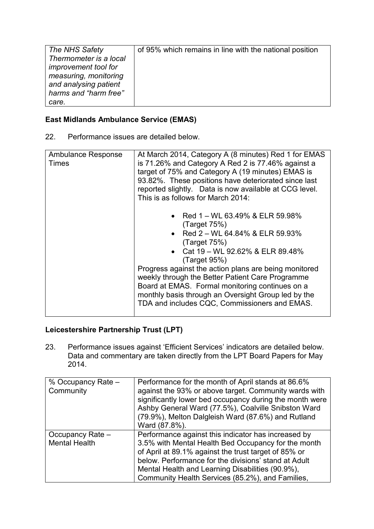| The NHS Safety              | of 95% which remains in line with the national position |
|-----------------------------|---------------------------------------------------------|
| Thermometer is a local      |                                                         |
| <i>improvement tool for</i> |                                                         |
| measuring, monitoring       |                                                         |
| and analysing patient       |                                                         |
| harms and "harm free"       |                                                         |
| care.                       |                                                         |

# **East Midlands Ambulance Service (EMAS)**

22. Performance issues are detailed below.

| Ambulance Response<br><b>Times</b> | At March 2014, Category A (8 minutes) Red 1 for EMAS<br>is 71.26% and Category A Red 2 is 77.46% against a<br>target of 75% and Category A (19 minutes) EMAS is<br>93.82%. These positions have deteriorated since last<br>reported slightly. Data is now available at CCG level.<br>This is as follows for March 2014:                                                                                                               |
|------------------------------------|---------------------------------------------------------------------------------------------------------------------------------------------------------------------------------------------------------------------------------------------------------------------------------------------------------------------------------------------------------------------------------------------------------------------------------------|
|                                    | • Red $1 - WL$ 63.49% & ELR 59.98%<br>(Target 75%)<br>• Red $2 - WL$ 64.84% & ELR 59.93%<br>(Target 75%)<br>• Cat 19 – WL 92.62% & ELR 89.48%<br>(Target 95%)<br>Progress against the action plans are being monitored<br>weekly through the Better Patient Care Programme<br>Board at EMAS. Formal monitoring continues on a<br>monthly basis through an Oversight Group led by the<br>TDA and includes CQC, Commissioners and EMAS. |

# **Leicestershire Partnership Trust (LPT)**

23. Performance issues against 'Efficient Services' indicators are detailed below. Data and commentary are taken directly from the LPT Board Papers for May 2014.

| % Occupancy Rate -<br>Community          | Performance for the month of April stands at 86.6%<br>against the 93% or above target. Community wards with<br>significantly lower bed occupancy during the month were<br>Ashby General Ward (77.5%), Coalville Snibston Ward<br>(79.9%), Melton Dalgleish Ward (87.6%) and Rutland<br>Ward (87.8%).                               |
|------------------------------------------|------------------------------------------------------------------------------------------------------------------------------------------------------------------------------------------------------------------------------------------------------------------------------------------------------------------------------------|
| Occupancy Rate -<br><b>Mental Health</b> | Performance against this indicator has increased by<br>3.5% with Mental Health Bed Occupancy for the month<br>of April at 89.1% against the trust target of 85% or<br>below. Performance for the divisions' stand at Adult<br>Mental Health and Learning Disabilities (90.9%),<br>Community Health Services (85.2%), and Families, |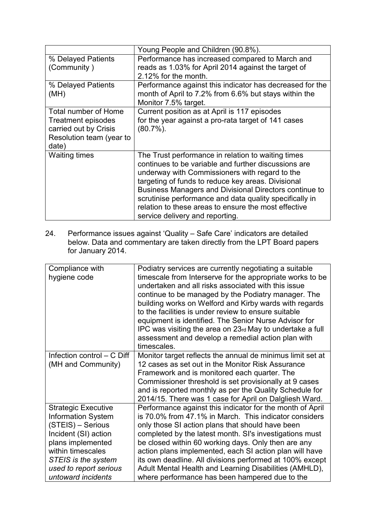|                                                                                                          | Young People and Children (90.8%).                                                                                                                                                                                                                                                                                                                                                                                                 |
|----------------------------------------------------------------------------------------------------------|------------------------------------------------------------------------------------------------------------------------------------------------------------------------------------------------------------------------------------------------------------------------------------------------------------------------------------------------------------------------------------------------------------------------------------|
| % Delayed Patients<br>(Community)                                                                        | Performance has increased compared to March and<br>reads as 1.03% for April 2014 against the target of                                                                                                                                                                                                                                                                                                                             |
|                                                                                                          | 2.12% for the month.                                                                                                                                                                                                                                                                                                                                                                                                               |
| % Delayed Patients<br>(MH)                                                                               | Performance against this indicator has decreased for the<br>month of April to 7.2% from 6.6% but stays within the<br>Monitor 7.5% target.                                                                                                                                                                                                                                                                                          |
| Total number of Home<br>Treatment episodes<br>carried out by Crisis<br>Resolution team (year to<br>date) | Current position as at April is 117 episodes<br>for the year against a pro-rata target of 141 cases<br>$(80.7\%)$ .                                                                                                                                                                                                                                                                                                                |
| <b>Waiting times</b>                                                                                     | The Trust performance in relation to waiting times<br>continues to be variable and further discussions are<br>underway with Commissioners with regard to the<br>targeting of funds to reduce key areas. Divisional<br>Business Managers and Divisional Directors continue to<br>scrutinise performance and data quality specifically in<br>relation to these areas to ensure the most effective<br>service delivery and reporting. |

24. Performance issues against 'Quality – Safe Care' indicators are detailed below. Data and commentary are taken directly from the LPT Board papers for January 2014.

| Compliance with            | Podiatry services are currently negotiating a suitable     |
|----------------------------|------------------------------------------------------------|
| hygiene code               | timescale from Interserve for the appropriate works to be  |
|                            | undertaken and all risks associated with this issue        |
|                            | continue to be managed by the Podiatry manager. The        |
|                            | building works on Welford and Kirby wards with regards     |
|                            | to the facilities is under review to ensure suitable       |
|                            | equipment is identified. The Senior Nurse Advisor for      |
|                            | IPC was visiting the area on 23rd May to undertake a full  |
|                            | assessment and develop a remedial action plan with         |
|                            | timescales.                                                |
| Infection control - C Diff | Monitor target reflects the annual de minimus limit set at |
| (MH and Community)         | 12 cases as set out in the Monitor Risk Assurance          |
|                            | Framework and is monitored each quarter. The               |
|                            | Commissioner threshold is set provisionally at 9 cases     |
|                            | and is reported monthly as per the Quality Schedule for    |
|                            | 2014/15. There was 1 case for April on Dalgliesh Ward.     |
| <b>Strategic Executive</b> | Performance against this indicator for the month of April  |
| <b>Information System</b>  | is 70.0% from 47.1% in March. This indicator considers     |
| (STEIS) - Serious          | only those SI action plans that should have been           |
| Incident (SI) action       | completed by the latest month. SI's investigations must    |
| plans implemented          | be closed within 60 working days. Only then are any        |
| within timescales          | action plans implemented, each SI action plan will have    |
| STEIS is the system        | its own deadline. All divisions performed at 100% except   |
| used to report serious     | Adult Mental Health and Learning Disabilities (AMHLD),     |
| untoward incidents         | where performance has been hampered due to the             |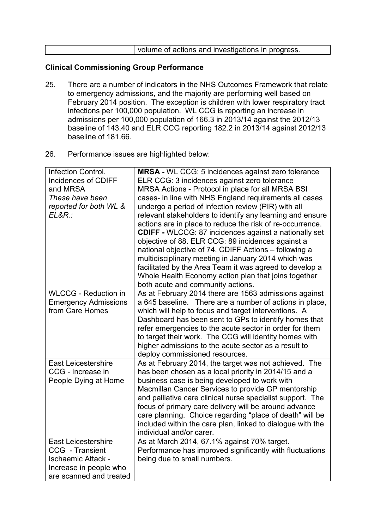| volume of actions and investigations in progress. |
|---------------------------------------------------|
|                                                   |

### **Clinical Commissioning Group Performance**

- 25. There are a number of indicators in the NHS Outcomes Framework that relate to emergency admissions, and the majority are performing well based on February 2014 position. The exception is children with lower respiratory tract infections per 100,000 population. WL CCG is reporting an increase in admissions per 100,000 population of 166.3 in 2013/14 against the 2012/13 baseline of 143.40 and ELR CCG reporting 182.2 in 2013/14 against 2012/13 baseline of 181.66.
- 26. Performance issues are highlighted below:

| <b>Infection Control.</b>   | <b>MRSA</b> - WL CCG: 5 incidences against zero tolerance    |
|-----------------------------|--------------------------------------------------------------|
| Incidences of CDIFF         | ELR CCG: 3 incidences against zero tolerance                 |
| and MRSA                    | MRSA Actions - Protocol in place for all MRSA BSI            |
| These have been             | cases- in line with NHS England requirements all cases       |
| reported for both WL &      | undergo a period of infection review (PIR) with all          |
| EL&R.:                      | relevant stakeholders to identify any learning and ensure    |
|                             | actions are in place to reduce the risk of re-occurrence.    |
|                             | <b>CDIFF - WLCCG: 87 incidences against a nationally set</b> |
|                             | objective of 88. ELR CCG: 89 incidences against a            |
|                             | national objective of 74. CDIFF Actions - following a        |
|                             | multidisciplinary meeting in January 2014 which was          |
|                             | facilitated by the Area Team it was agreed to develop a      |
|                             | Whole Health Economy action plan that joins together         |
|                             | both acute and community actions.                            |
| <b>WLCCG - Reduction in</b> | As at February 2014 there are 1563 admissions against        |
| <b>Emergency Admissions</b> | a 645 baseline. There are a number of actions in place,      |
| from Care Homes             | which will help to focus and target interventions. A         |
|                             | Dashboard has been sent to GPs to identify homes that        |
|                             | refer emergencies to the acute sector in order for them      |
|                             | to target their work. The CCG will identity homes with       |
|                             | higher admissions to the acute sector as a result to         |
|                             | deploy commissioned resources.                               |
| <b>East Leicestershire</b>  | As at February 2014, the target was not achieved. The        |
| CCG - Increase in           | has been chosen as a local priority in 2014/15 and a         |
| People Dying at Home        | business case is being developed to work with                |
|                             | Macmillan Cancer Services to provide GP mentorship           |
|                             | and palliative care clinical nurse specialist support. The   |
|                             | focus of primary care delivery will be around advance        |
|                             | care planning. Choice regarding "place of death" will be     |
|                             | included within the care plan, linked to dialogue with the   |
|                             | individual and/or carer.                                     |
| <b>East Leicestershire</b>  | As at March 2014, 67.1% against 70% target.                  |
| CCG - Transient             | Performance has improved significantly with fluctuations     |
| <b>Ischaemic Attack -</b>   | being due to small numbers.                                  |
| Increase in people who      |                                                              |
| are scanned and treated     |                                                              |